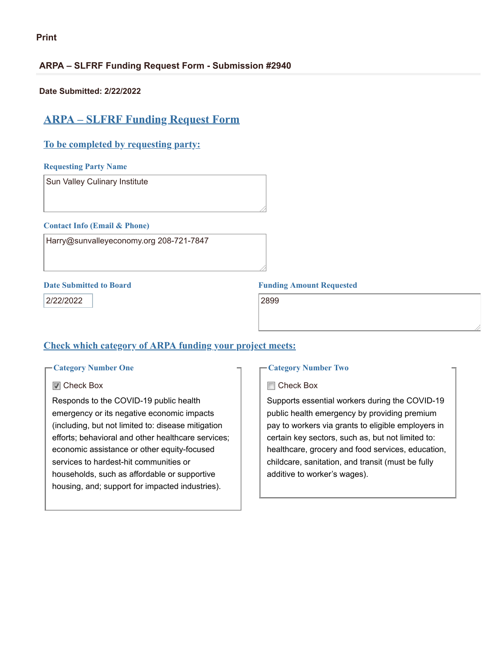#### **ARPA – SLFRF Funding Request Form - Submission #2940**

**Date Submitted: 2/22/2022**

# **ARPA – SLFRF Funding Request Form**

### **To be completed by requesting party:**

#### **Requesting Party Name**

Sun Valley Culinary Institute

#### **Contact Info (Email & Phone)**

Harry@sunvalleyeconomy.org 208-721-7847

2/22/2022 2899

#### **Date Submitted to Board Funding Amount Requested**

## **Check which category of ARPA funding your project meets:**

#### **Category Number One**

#### **■** Check Box

Responds to the COVID-19 public health emergency or its negative economic impacts (including, but not limited to: disease mitigation efforts; behavioral and other healthcare services; economic assistance or other equity-focused services to hardest-hit communities or households, such as affordable or supportive housing, and; support for impacted industries).

#### **Category Number Two**

#### **□ Check Box**

Supports essential workers during the COVID-19 public health emergency by providing premium pay to workers via grants to eligible employers in certain key sectors, such as, but not limited to: healthcare, grocery and food services, education, childcare, sanitation, and transit (must be fully additive to worker's wages).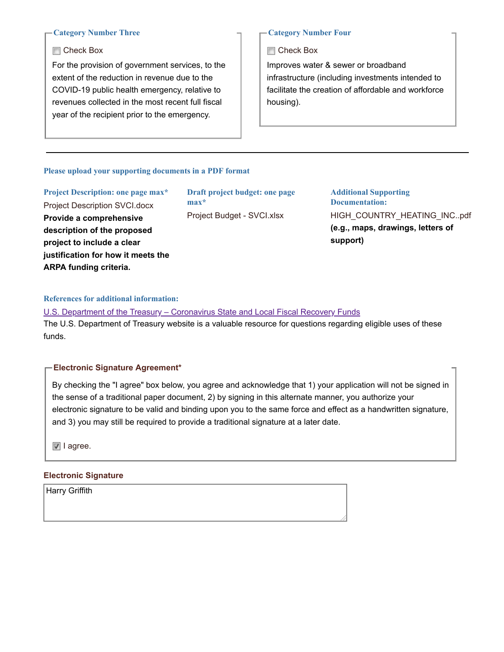#### **Category Number Three**

#### **□ Check Box**

For the provision of government services, to the extent of the reduction in revenue due to the COVID-19 public health emergency, relative to revenues collected in the most recent full fiscal year of the recipient prior to the emergency.

#### **Category Number Four**

**□ Check Box** 

Improves water & sewer or broadband infrastructure (including investments intended to facilitate the creation of affordable and workforce housing).

#### **Please upload your supporting documents in a PDF format**

**Project Description: one page max\*** Project Description SVCI.docx **Provide a comprehensive description of the proposed project to include a clear justification for how it meets the ARPA funding criteria.**

**Draft project budget: one page max\*** Project Budget - SVCI.xlsx

**Additional Supporting Documentation:** HIGH\_COUNTRY\_HEATING\_INC..pdf **(e.g., maps, drawings, letters of support)**

#### **References for additional information:**

U.S. Department of the Treasury – [Coronavirus](https://home.treasury.gov/policy-issues/coronavirus/assistance-for-state-local-and-tribal-governments/state-and-local-fiscal-recovery-funds) State and Local Fiscal Recovery Funds The U.S. Department of Treasury website is a valuable resource for questions regarding eligible uses of these funds.

#### **Electronic Signature Agreement\***

By checking the "I agree" box below, you agree and acknowledge that 1) your application will not be signed in the sense of a traditional paper document, 2) by signing in this alternate manner, you authorize your electronic signature to be valid and binding upon you to the same force and effect as a handwritten signature, and 3) you may still be required to provide a traditional signature at a later date.

I agree.

#### **Electronic Signature**

Harry Griffith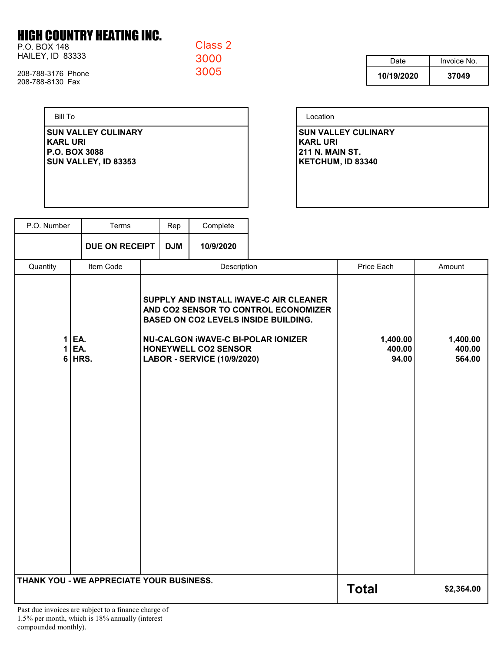# **HIGH COUNTRY HEATING INC.**

P.O. BOX 148 HAILEY, ID 83333 Class<sub>2</sub> 3000 3005

208-788-3176 Phone 208-788-8130 Fax

> **Bill To SUN VALLEY CULINARY KARL URI** P.O. BOX 3088 **SUN VALLEY, ID 83353**

| Date       | Invoice No. |  |  |
|------------|-------------|--|--|
| 10/19/2020 | 37049       |  |  |

| Location                                                                                     |  |
|----------------------------------------------------------------------------------------------|--|
| <b>SUN VALLEY CULINARY</b><br><b>KARL URI</b><br><b>211 N. MAIN ST.</b><br>KETCHUM, ID 83340 |  |
|                                                                                              |  |

| P.O. Number                                                                                      | Terms              |             | Rep                                                                                                                                                                                                                                             | Complete     |                             |                              |  |
|--------------------------------------------------------------------------------------------------|--------------------|-------------|-------------------------------------------------------------------------------------------------------------------------------------------------------------------------------------------------------------------------------------------------|--------------|-----------------------------|------------------------------|--|
|                                                                                                  | DUE ON RECEIPT     |             | <b>DJM</b>                                                                                                                                                                                                                                      | 10/9/2020    |                             |                              |  |
| Quantity                                                                                         | Item Code          | Description |                                                                                                                                                                                                                                                 | Price Each   | Amount                      |                              |  |
| 1<br>1<br>6                                                                                      | EA.<br>EA.<br>HRS. |             | SUPPLY AND INSTALL IWAVE-C AIR CLEANER<br>AND CO2 SENSOR TO CONTROL ECONOMIZER<br><b>BASED ON CO2 LEVELS INSIDE BUILDING.</b><br><b>NU-CALGON IWAVE-C BI-POLAR IONIZER</b><br><b>HONEYWELL CO2 SENSOR</b><br><b>LABOR - SERVICE (10/9/2020)</b> |              | 1,400.00<br>400.00<br>94.00 | 1,400.00<br>400.00<br>564.00 |  |
| THANK YOU - WE APPRECIATE YOUR BUSINESS.<br>Dost due invoices are subject to a finance charge of |                    |             |                                                                                                                                                                                                                                                 | <b>Total</b> | \$2,364.00                  |                              |  |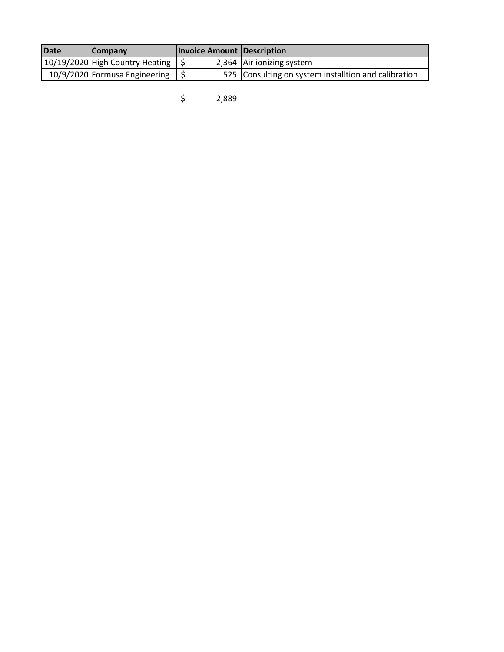| <b>IDate</b> | <b>ICompany</b>                 | <b>Invoice Amount Description</b> |                                                      |
|--------------|---------------------------------|-----------------------------------|------------------------------------------------------|
|              | 10/19/2020 High Country Heating |                                   | 2,364 Air ionizing system                            |
|              | 10/9/2020 Formusa Engineering   |                                   | 525 Consulting on system installtion and calibration |

\$ 2,889